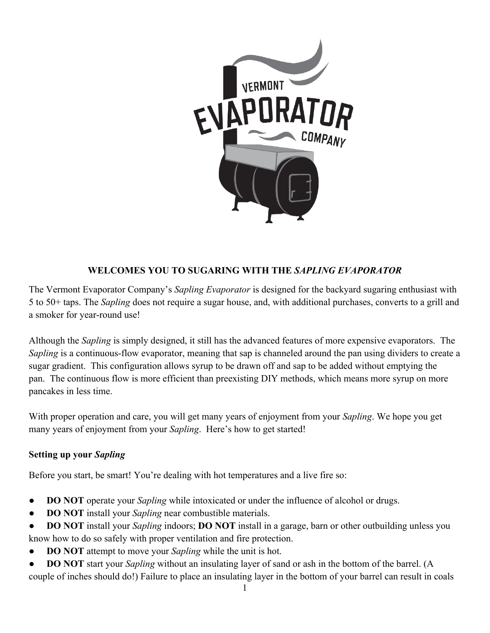

# **WELCOMES YOU TO SUGARING WITH THE** *SAPLING EVAPORATOR*

The Vermont Evaporator Company's *Sapling Evaporator* is designed for the backyard sugaring enthusiast with 5 to 50+ taps. The *Sapling* does not require a sugar house, and, with additional purchases, converts to a grill and a smoker for year-round use!

Although the *Sapling* is simply designed, it still has the advanced features of more expensive evaporators. The *Sapling* is a continuous-flow evaporator, meaning that sap is channeled around the pan using dividers to create a sugar gradient. This configuration allows syrup to be drawn off and sap to be added without emptying the pan. The continuous flow is more efficient than preexisting DIY methods, which means more syrup on more pancakes in less time.

With proper operation and care, you will get many years of enjoyment from your *Sapling*. We hope you get many years of enjoyment from your *Sapling*. Here's how to get started!

## **Setting up your** *Sapling*

Before you start, be smart! You're dealing with hot temperatures and a live fire so:

- **DO NOT** operate your *Sapling* while intoxicated or under the influence of alcohol or drugs.
- **DO NOT** install your *Sapling* near combustible materials.
- **DO NOT** install your *Sapling* indoors; **DO NOT** install in a garage, barn or other outbuilding unless you know how to do so safely with proper ventilation and fire protection.
- **DO NOT** attempt to move your *Sapling* while the unit is hot.
- **DO NOT** start your *Sapling* without an insulating layer of sand or ash in the bottom of the barrel. (A couple of inches should do!) Failure to place an insulating layer in the bottom of your barrel can result in coals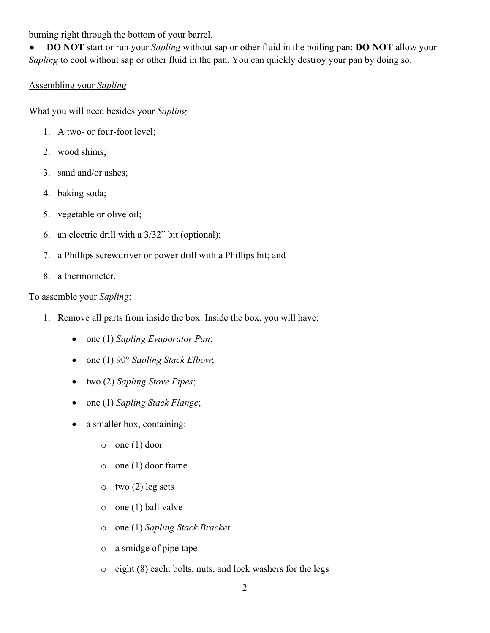burning right through the bottom of your barrel.

● **DO NOT** start or run your *Sapling* without sap or other fluid in the boiling pan; **DO NOT** allow your *Sapling* to cool without sap or other fluid in the pan. You can quickly destroy your pan by doing so.

## Assembling your *Sapling*

What you will need besides your *Sapling*:

- 1. A two- or four-foot level;
- 2. wood shims;
- 3. sand and/or ashes;
- 4. baking soda;
- 5. vegetable or olive oil;
- 6. an electric drill with a 3/32" bit (optional);
- 7. a Phillips screwdriver or power drill with a Phillips bit; and
- 8. a thermometer.

To assemble your *Sapling*:

- 1. Remove all parts from inside the box. Inside the box, you will have:
	- one (1) *Sapling Evaporator Pan*;
	- one (1) 90° *Sapling Stack Elbow*;
	- two (2) *Sapling Stove Pipes*;
	- one (1) *Sapling Stack Flange*;
	- a smaller box, containing:
		- o one (1) door
		- o one (1) door frame
		- $\circ$  two (2) leg sets
		- o one (1) ball valve
		- o one (1) *Sapling Stack Bracket*
		- o a smidge of pipe tape
		- o eight (8) each: bolts, nuts, and lock washers for the legs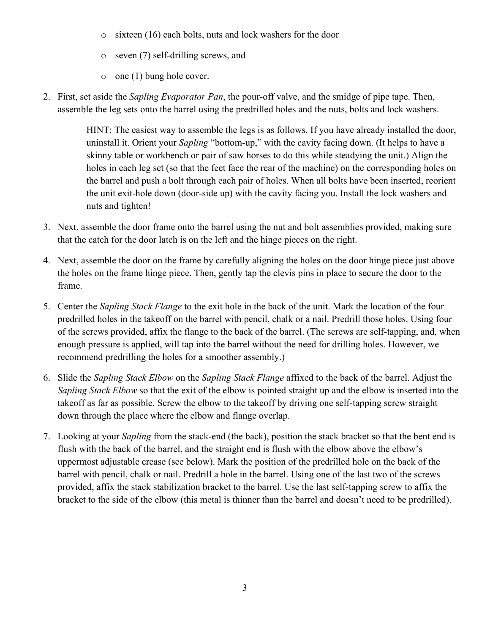- o sixteen (16) each bolts, nuts and lock washers for the door
- o seven (7) self-drilling screws, and
- o one (1) bung hole cover.
- 2. First, set aside the *Sapling Evaporator Pan*, the pour-off valve, and the smidge of pipe tape. Then, assemble the leg sets onto the barrel using the predrilled holes and the nuts, bolts and lock washers.

HINT: The easiest way to assemble the legs is as follows. If you have already installed the door, uninstall it. Orient your *Sapling* "bottom-up," with the cavity facing down. (It helps to have a skinny table or workbench or pair of saw horses to do this while steadying the unit.) Align the holes in each leg set (so that the feet face the rear of the machine) on the corresponding holes on the barrel and push a bolt through each pair of holes. When all bolts have been inserted, reorient the unit exit-hole down (door-side up) with the cavity facing you. Install the lock washers and nuts and tighten!

- 3. Next, assemble the door frame onto the barrel using the nut and bolt assemblies provided, making sure that the catch for the door latch is on the left and the hinge pieces on the right.
- 4. Next, assemble the door on the frame by carefully aligning the holes on the door hinge piece just above the holes on the frame hinge piece. Then, gently tap the clevis pins in place to secure the door to the frame.
- 5. Center the *Sapling Stack Flange* to the exit hole in the back of the unit. Mark the location of the four predrilled holes in the takeoff on the barrel with pencil, chalk or a nail. Predrill those holes. Using four of the screws provided, affix the flange to the back of the barrel. (The screws are self-tapping, and, when enough pressure is applied, will tap into the barrel without the need for drilling holes. However, we recommend predrilling the holes for a smoother assembly.)
- 6. Slide the *Sapling Stack Elbow* on the *Sapling Stack Flange* affixed to the back of the barrel. Adjust the *Sapling Stack Elbow* so that the exit of the elbow is pointed straight up and the elbow is inserted into the takeoff as far as possible. Screw the elbow to the takeoff by driving one self-tapping screw straight down through the place where the elbow and flange overlap.
- 7. Looking at your *Sapling* from the stack-end (the back), position the stack bracket so that the bent end is flush with the back of the barrel, and the straight end is flush with the elbow above the elbow's uppermost adjustable crease (see below). Mark the position of the predrilled hole on the back of the barrel with pencil, chalk or nail. Predrill a hole in the barrel. Using one of the last two of the screws provided, affix the stack stabilization bracket to the barrel. Use the last self-tapping screw to affix the bracket to the side of the elbow (this metal is thinner than the barrel and doesn't need to be predrilled).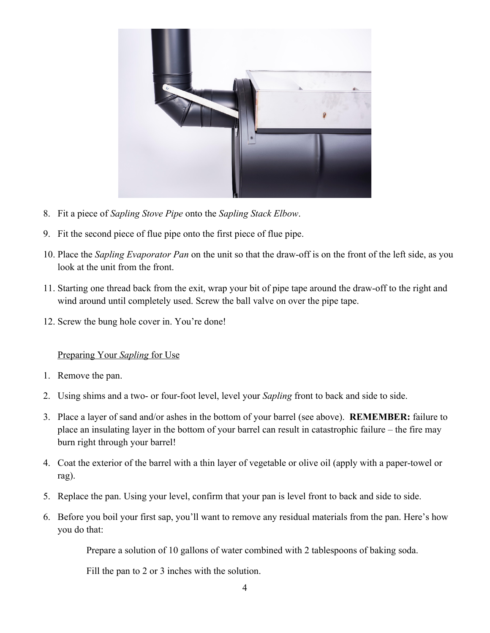

- 8. Fit a piece of *Sapling Stove Pipe* onto the *Sapling Stack Elbow*.
- 9. Fit the second piece of flue pipe onto the first piece of flue pipe.
- 10. Place the *Sapling Evaporator Pan* on the unit so that the draw-off is on the front of the left side, as you look at the unit from the front.
- 11. Starting one thread back from the exit, wrap your bit of pipe tape around the draw-off to the right and wind around until completely used. Screw the ball valve on over the pipe tape.
- 12. Screw the bung hole cover in. You're done!

#### Preparing Your *Sapling* for Use

- 1. Remove the pan.
- 2. Using shims and a two- or four-foot level, level your *Sapling* front to back and side to side.
- 3. Place a layer of sand and/or ashes in the bottom of your barrel (see above). **REMEMBER:** failure to place an insulating layer in the bottom of your barrel can result in catastrophic failure – the fire may burn right through your barrel!
- 4. Coat the exterior of the barrel with a thin layer of vegetable or olive oil (apply with a paper-towel or rag).
- 5. Replace the pan. Using your level, confirm that your pan is level front to back and side to side.
- 6. Before you boil your first sap, you'll want to remove any residual materials from the pan. Here's how you do that:

Prepare a solution of 10 gallons of water combined with 2 tablespoons of baking soda.

Fill the pan to 2 or 3 inches with the solution.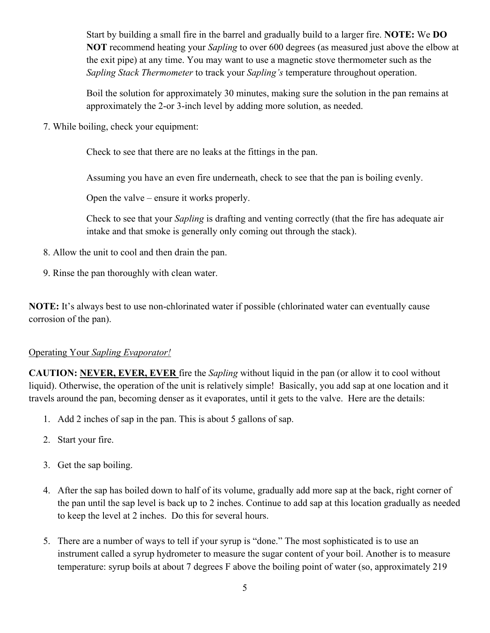Start by building a small fire in the barrel and gradually build to a larger fire. **NOTE:** We **DO NOT** recommend heating your *Sapling* to over 600 degrees (as measured just above the elbow at the exit pipe) at any time. You may want to use a magnetic stove thermometer such as the *Sapling Stack Thermometer* to track your *Sapling's* temperature throughout operation.

Boil the solution for approximately 30 minutes, making sure the solution in the pan remains at approximately the 2-or 3-inch level by adding more solution, as needed.

7. While boiling, check your equipment:

Check to see that there are no leaks at the fittings in the pan.

Assuming you have an even fire underneath, check to see that the pan is boiling evenly.

Open the valve – ensure it works properly.

Check to see that your *Sapling* is drafting and venting correctly (that the fire has adequate air intake and that smoke is generally only coming out through the stack).

- 8. Allow the unit to cool and then drain the pan.
- 9. Rinse the pan thoroughly with clean water.

**NOTE:** It's always best to use non-chlorinated water if possible (chlorinated water can eventually cause corrosion of the pan).

#### Operating Your *Sapling Evaporator!*

**CAUTION: NEVER, EVER, EVER** fire the *Sapling* without liquid in the pan (or allow it to cool without liquid). Otherwise, the operation of the unit is relatively simple! Basically, you add sap at one location and it travels around the pan, becoming denser as it evaporates, until it gets to the valve. Here are the details:

- 1. Add 2 inches of sap in the pan. This is about 5 gallons of sap.
- 2. Start your fire.
- 3. Get the sap boiling.
- 4. After the sap has boiled down to half of its volume, gradually add more sap at the back, right corner of the pan until the sap level is back up to 2 inches. Continue to add sap at this location gradually as needed to keep the level at 2 inches. Do this for several hours.
- 5. There are a number of ways to tell if your syrup is "done." The most sophisticated is to use an instrument called a syrup hydrometer to measure the sugar content of your boil. Another is to measure temperature: syrup boils at about 7 degrees F above the boiling point of water (so, approximately 219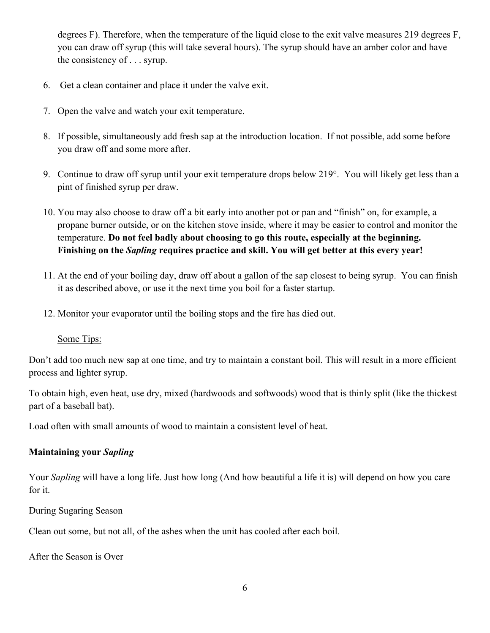degrees F). Therefore, when the temperature of the liquid close to the exit valve measures 219 degrees F, you can draw off syrup (this will take several hours). The syrup should have an amber color and have the consistency of . . . syrup.

- 6. Get a clean container and place it under the valve exit.
- 7. Open the valve and watch your exit temperature.
- 8. If possible, simultaneously add fresh sap at the introduction location. If not possible, add some before you draw off and some more after.
- 9. Continue to draw off syrup until your exit temperature drops below 219°. You will likely get less than a pint of finished syrup per draw.
- 10. You may also choose to draw off a bit early into another pot or pan and "finish" on, for example, a propane burner outside, or on the kitchen stove inside, where it may be easier to control and monitor the temperature. **Do not feel badly about choosing to go this route, especially at the beginning. Finishing on the** *Sapling* **requires practice and skill. You will get better at this every year!**
- 11. At the end of your boiling day, draw off about a gallon of the sap closest to being syrup. You can finish it as described above, or use it the next time you boil for a faster startup.
- 12. Monitor your evaporator until the boiling stops and the fire has died out.

#### Some Tips:

Don't add too much new sap at one time, and try to maintain a constant boil. This will result in a more efficient process and lighter syrup.

To obtain high, even heat, use dry, mixed (hardwoods and softwoods) wood that is thinly split (like the thickest part of a baseball bat).

Load often with small amounts of wood to maintain a consistent level of heat.

### **Maintaining your** *Sapling*

Your *Sapling* will have a long life. Just how long (And how beautiful a life it is) will depend on how you care for it.

#### During Sugaring Season

Clean out some, but not all, of the ashes when the unit has cooled after each boil.

#### After the Season is Over